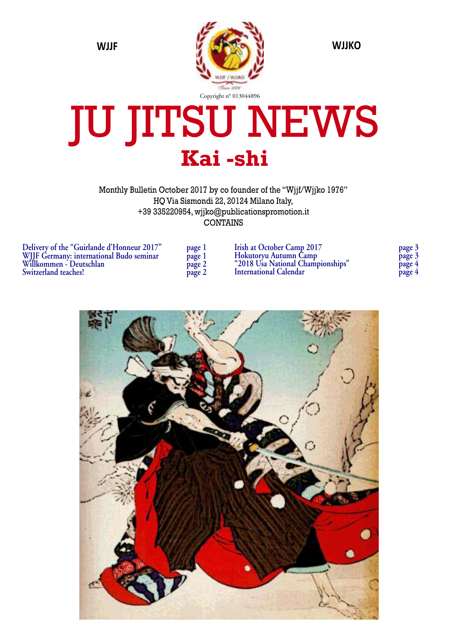

## JU JITSU NEWS **Kai -shi**

Monthly Bulletin October 2017 by co founder of the "Wjjf/Wjjko 1976" HQ Via Sismondi 22, 20124 Milano Italy, +39 335220954, wjjko@publicationspromotion.it CONTAINS

| Delivery of the "Guirlande d'Honneur 2017" | page 1 |
|--------------------------------------------|--------|
| WHF Germany: international Budo seminar    | page 1 |
| Willkommen - Deutschlan                    | page 2 |
| Switzerland teaches!                       | page 2 |

| page   |  |
|--------|--|
| page   |  |
| page 2 |  |
| page 2 |  |

| <b>Irish at October Camp 2017</b> | page 3 |
|-----------------------------------|--------|
| Hokutoryu Autumn Camp             | page 3 |
| "2018 Usa National Championships" | page 4 |
| <b>International Calendar</b>     | page 4 |

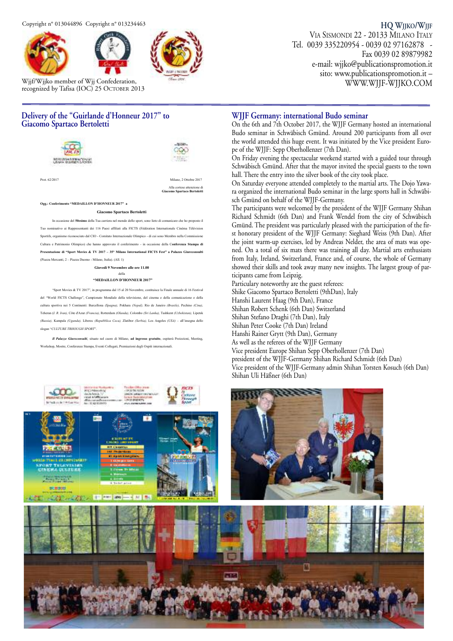



Wjjf/Wjjko member of Wjj Confederation, recognized by Tafisa (IOC) 25 OCTOBER 2013

#### **HQ WJJKO/WJJF** VIA SISMONDI 22 - 20133 MILANO ITALY

Tel. 0039 335220954 - 0039 02 97162878 - Fax 0039 02 89879982 e-mail: wjjko@publicationspromotion.it sito: www.publicationspromotion.it – WWW.WJJF-WJJKO.COM

#### **Delivery of the "Guirlande d'Honneur 2017" to Giacomo Spartaco Bertoletti**



Alla cortese attenzione di  **Giacomo Spartaco Bertoletti** 

**Ogg.: Conferimento "MEDAILLON D'HONNEUR 2017" a** 

فلتفقأ لثنة

**Giacomo Spartaco Bertoletti**

In occasione del **50esimo** della Tua carriera nel mondo dello sport, sono lieto di comunicare che ho proposto il tivo ai Rappresentanti dei 116 Paesi affiliati alla FICTS (Fédération Internationale Cinéma Télévisio Sportifs, organismo riconosciuto dal CIO - Comitato Internazionale Olimpico - di cui sono Membro nella Commissione Cultura e Patrimonio Olimpico) che hanno approvato il conferimento - in occasione della C**onferenza Stampa di Presentazione di "Sport Movies & TV 2017 - 35° Milano International FICTS Fest" a Palazzo Giureconsult** (Piazza Mercanti, 2 ± Piazza Duomo - Milano, Italia). (All. 1)

> **Giovedì 9 Novembre alle ore 11.00**  della

**<sup>\*</sup>MEDAILLON D'HONNEUR 2017** 

³Sport Movies & TV 2017´in programma dal 15 al 20 Novembre, costituisce la Finale annuale di 16 Festival del "World FICTS Challenge", Campionato Mondiale della televisione, del cinema e della comunicazione e della cultura sportiva nei 5 Continenti: Barcellona *(Spagna),* Pokhara *(Nepal),* Rio de Janeiro *(Brasile),* Pechino *(Cina),*  Teheran (*I. R. Iran),* Côte d'Azur *(Francia),* Rotterdam *(Olanda),* Colombo *(Sri Lanka),* Tashkent *(Uzbekistan),* Lipetsk *(Russia), Kampala (Uganda), Liberec <i>(Repubblica Ceca), Zlatibor (Serbia), Los Angeles (USA) = all'insegna dello* slogan ³*CULTURE TRHOUGH SPORT*´.

*Il Palazzo Giureconsulti*, situato nel cuore di Milano, **ad ingresso gratuito**, ospiterà Proiezioni, Meeting, Workshop, Mostre, Conferenze Stampa, Eventi Collegati, Premiazioni degli Ospiti internazi

#### **WJJF Germany: international Budo seminar**

On the 6th and 7th October 2017, the WJJF Germany hosted an international Budo seminar in Schwäbisch Gmünd. Around 200 participants from all over the world attended this huge event. It was initiated by the Vice president Europe of the WJJF: Sepp Oberhollenzer (7th Dan).

On Friday evening the spectacular weekend started with a guided tour through Schwäbisch Gmünd. After that the mayor invited the special guests to the town hall. There the entry into the silver book of the city took place.

On Saturday everyone attended completely to the martial arts. The Dojo Yawara organized the international Budo seminar in the large sports hall in Schwäbisch Gmünd on behalf of the WJJF-Germany.

The participants were welcomed by the president of the WJJF Germany Shihan Richard Schmidt (6th Dan) and Frank Wendel from the city of Schwäbisch Gmünd. The president was particularly pleased with the participation of the first honorary president of the WJJF Germany: Sieghard Weiss (9th Dan). After the joint warm-up exercises, led by Andreas Nelder, the area of mats was opened. On a total of six mats there was training all day. Martial arts enthusiasts from Italy, Ireland, Switzerland, France and, of course, the whole of Germany showed their skills and took away many new insights. The largest group of participants came from Leipzig.

Particulary noteworthy are the guest referees: Shike Giacomo Spartaco Bertoletti (9thDan), Italy Hanshi Laurent Haag (9th Dan), France Shihan Robert Schenk (6th Dan) Switzerland Shihan Stefano Draghi (7th Dan), Italy Shihan Peter Cooke (7th Dan) Ireland Hanshi Rainer Grytt (9th Dan), Germany As well as the referees of the WJJF Germany Vice president Europe Shihan Sepp Oberhollenzer (7th Dan) president of the WJJF-Germany Shihan Richard Schmidt (6th Dan) Vice president of the WJJF-Germany admin Shihan Torsten Kosuch (6th Dan) Shihan Uli Häßner (6th Dan)



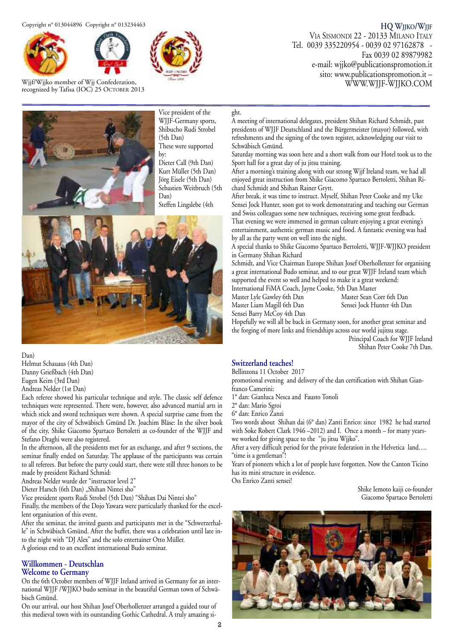



Wjjf/Wjjko member of Wjj Confederation, recognized by Tafisa (IOC) 25 OCTOBER 2013



**HQ WJJKO/WJJF** VIA SISMONDI 22 - 20133 MILANO ITALY Tel. 0039 335220954 - 0039 02 97162878 - Fax 0039 02 89879982 e-mail: wjjko@publicationspromotion.it sito: www.publicationspromotion.it –

WWW.WJJF-WJJKO.COM



Vice president of the WJJF-Germany sports, Shibucho Rudi Strobel (5th Dan) These were supported by:

Dieter Call (9th Dan) Kurt Müller (5th Dan) Jörg Eisele (5th Dan) Sebastien Weitbruch (5th Dan)

Steffen Lingslebe (4th



Dan)

Helmut Schauaus (4th Dan) Danny Grießbach (4th Dan) Eugen Keim (3rd Dan) Andreas Nelder (1st Dan)

Each referee showed his particular technique and style. The classic self defence techniques were represented. There were, however, also advanced martial arts in which stick and sword techniques were shown. A special surprise came from the mayor of the city of Schwäbisch Gmünd Dr. Joachim Bläse: In the silver book of the city, Shike Giacomo Spartaco Bertoletti as co-founder of the WJJF and Stefano Draghi were also registered.

In the afternoon, all the presidents met for an exchange, and after 9 sections, the seminar finally ended on Saturday. The applause of the participants was certain to all referees. But before the party could start, there were still three honors to be made by president Richard Schmid:

Andreas Nelder wurde der "instructor level 2"

Dieter Harsch (6th Dan) "Shihan Nintei sho"

Vice president sports Rudi Strobel (5th Dan) "Shihan Dai Nintei sho"

Finally, the members of the Dojo Yawara were particularly thanked for the excellent organisation of this event.

After the seminar, the invited guests and participants met in the "Schwerzerhalle" in Schwäbisch Gmünd. After the buffet, there was a celebration until late into the night with "DJ Alex" and the solo entertainer Otto Müller. A glorious end to an excellent international Budo seminar.

#### **Willkommen - Deutschlan**

#### **Welcome to Germany**

On the 6th October members of WJJF Ireland arrived in Germany for an international WJJF /WJJKO budo seminar in the beautiful German town of Schwäbisch Gmünd.

On our arrival, our host Shihan Josef Oberhollenzer arranged a guided tour of this medieval town with its outstanding Gothic Cathedral. A truly amazing si-

#### ght.

A meeting of international delegates, president Shihan Richard Schmidt, past presidents of WJJF Deutschland and the Bürgermeister (mayor) followed, with refreshments and the signing of the town register, acknowledging our visit to Schwäbisch Gmünd.

Saturday morning was soon here and a short walk from our Hotel took us to the Sport hall for a great day of ju jitsu training.

After a morning's training along with our strong Wjjf Ireland team, we had all enjoyed great instruction from Shike Giacomo Spartaco Bertoletti, Shihan Richard Schmidt and Shihan Rainer Grytt.

After break, it was time to instruct. Myself, Shihan Peter Cooke and my Uke Sensei Jock Hunter, soon got to work demonstrating and teaching our German and Swiss colleagues some new techniques, receiving some great feedback.

That evening we were immersed in german culture enjoying a great evening's entertainment, authentic german music and food. A fantastic evening was had by all as the party went on well into the night.

A special thanks to Shike Giacomo Spartaco Bertoletti, WJJF-WJJKO president in Germany Shihan Richard

Schmidt, and Vice Chairman Europe Shihan Josef Oberhollenzer for organising a great international Budo seminar, and to our great WJJF Ireland team which supported the event so well and helped to make it a great weekend: International FiMA Coach, Jayne Cooke, 5th Dan Master

Master Lyle Gawley 6th Dan Master Sean Corr 6th Dan Master Liam Magill 6th Dan Sensei Barry McCoy 4th Dan

Hopefully we will all be back in Germany soon, for another great seminar and the forging of more links and friendships across our world jujitsu stage.

> Principal Coach for WJJF Ireland Shihan Peter Cooke 7th Dan.

#### **Switzerland teaches!**

Bellinzona 11 October 2017

promotional evening and delivery of the dan certification with Shihan Gianfranco Camerini:

1° dan: Gianluca Nesca and Fausto Tonoli

2° dan: Mario Sgroi

6° dan: Enrico Zanzi

Two words about Shihan dai (6° dan) Zanti Enrico: since 1982 he had started with Soke Robert Clark 1946 –2012) and I. Once a month – for many yearswe worked for giving space to the "ju jitsu Wjjko".

After a very difficult period for the private federation in the Helvetica land…. "time is a gentleman"!

Years of pioneers which a lot of people have forgotten. Now the Canton Ticino has its mini structure in evidence.

Oss Enrico Zanti sensei!

Shike Iemoto kaiji co-founder Giacomo Spartaco Bertoletti

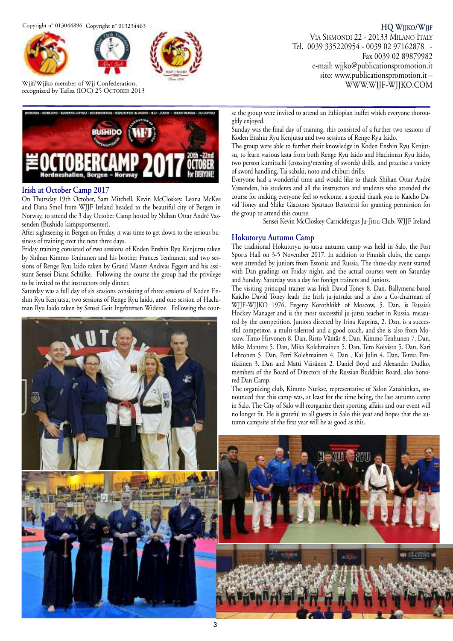Copyright n° 013044896 Copyright n° 013234463





Wjjf/Wjjko member of Wjj Confederation, recognized by Tafisa (IOC) 25 OCTOBER 2013



#### **Irish at October Camp 2017**

On Thursday 19th October, Sam Mitchell, Kevin McCloskey, Leona McKee and Dana Smol from WJJF Ireland headed to the beautiful city of Bergen in Norway, to attend the 3 day October Camp hosted by Shihan Ottar André Vassenden (Bushido kampsportsenter).

After sightseeing in Bergen on Friday, it was time to get down to the serious business of training over the next three days.

Friday training consisted of two sessions of Koden Enshin Ryu Kenjutsu taken by Shihan Kimmo Tenhunen and his brother Frances Tenhunen, and two sessions of Renge Ryu Iaido taken by Grand Master Andreas Eggert and his assistant Sensei Diana Schülke. Following the course the group had the privilege to be invited to the instructors only dinner.

Saturday was a full day of six sessions consisting of three sessions of Koden Enshin Ryu Kenjutsu, two sessions of Renge Ryu Iaido, and one session of Hachiman Ryu Iaido taken by Sensei Geir Ingebretsen Widerøe. Following the cour-



**HQ WJJKO/WJJF** VIA SISMONDI 22 - 20133 MILANO ITALY Tel. 0039 335220954 - 0039 02 97162878 - Fax 0039 02 89879982 e-mail: wjjko@publicationspromotion.it sito: www.publicationspromotion.it – WWW.WJJF-WJJKO.COM

se the group were invited to attend an Ethiopian buffet which everyone thoroughly enjoyed.

Sunday was the final day of training, this consisted of a further two sessions of Koden Enshin Ryu Kenjutsu and two sessions of Renge Ryu Iaido.

The group were able to further their knowledge in Koden Enshin Ryu Kenjutsu, to learn various kata from both Renge Ryu Iaido and Hachiman Ryu Iaido, two person kumitachi (crossing/meeting of swords) drills, and practise a variety of sword handling, Tai sabaki, noto and chiburi drills.

Everyone had a wonderful time and would like to thank Shihan Ottar André Vassenden, his students and all the instructors and students who attended the course for making everyone feel so welcome, a special thank you to Kaicho David Toney and Shike Giacomo Spartaco Bertoletti for granting permission for the group to attend this course.

Sensei Kevin McCloskey Carrickfergus Ju-Jitsu Club, WJJF Ireland

#### **Hokutoryu Autumn Camp**

The traditional Hokutoryu ju-jutsu autumn camp was held in Salo, the Post Sports Hall on 3-5 November 2017. In addition to Finnish clubs, the camps were attended by juniors from Estonia and Russia. The three-day event started with Dan gradings on Friday night, and the actual courses were on Saturday and Sunday. Saturday was a day for foreign trainers and juniors.

The visiting principal trainer was Irish David Toney 8. Dan. Ballymena-based Kaicho David Toney leads the Irish ju-jutsuka and is also a Co-chairman of WJJF-WJJKO 1976. Evgeny Korothkikh of Moscow, 5. Dan, is Russia's Hockey Manager and is the most successful ju-jutsu teacher in Russia, measured by the competition. Juniors directed by Irina Kuprina, 2. Dan, is a successful competitor, a multi-talented and a good coach, and she is also from Moscow. Timo Hirvonen 8. Dan, Risto Väntär 8. Dan, Kimmo Tenhunen 7. Dan, Mika Mantere 5. Dan, Mika Kolehmainen 5. Dan, Tero Koivisto 5. Dan, Kari Lehtonen 5. Dan, Petri Kolehmainen 4. Dan , Kai Julin 4. Dan, Teresa Pentikäinen 3. Dan and Matti Väisänen 2. Daniel Boyd and Alexander Dudko, members of the Board of Directors of the Russian Buddhist Board, also honored Dan Camp.

The organizing club, Kimmo Nurkse, representative of Salon Zanshinkan, announced that this camp was, at least for the time being, the last autumn camp in Salo. The City of Salo will reorganize their sporting affairs and our event will no longer fit. He is grateful to all guests in Salo this year and hopes that the autumn campsite of the first year will be as good as this.